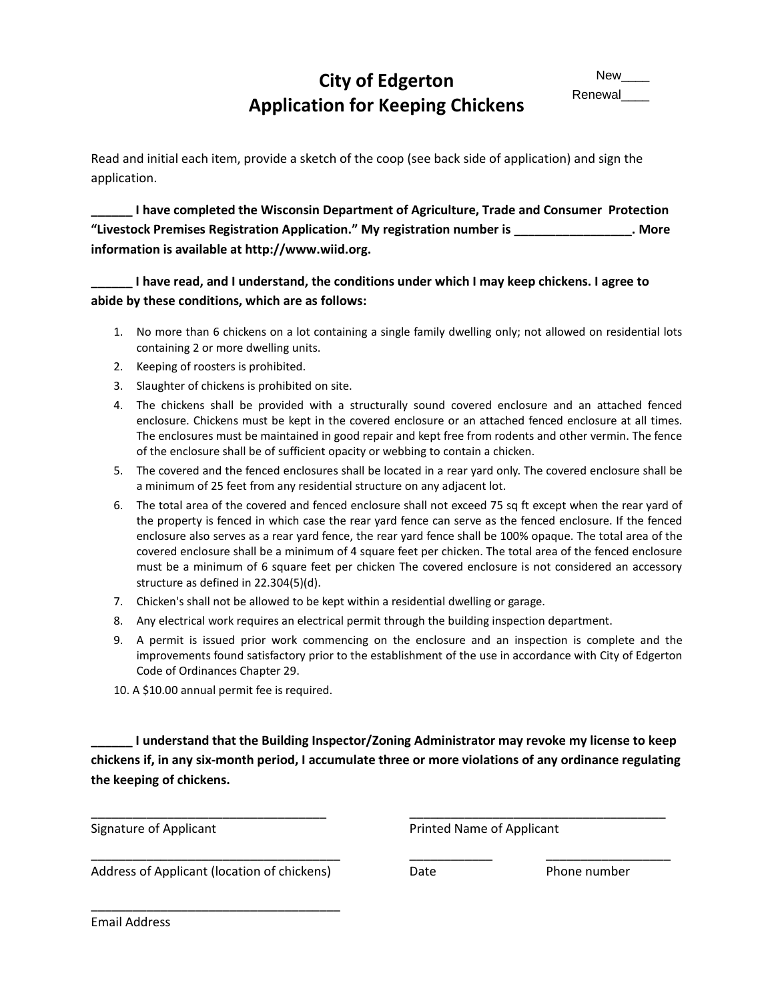## **City of Edgerton Application for Keeping Chickens**

Read and initial each item, provide a sketch of the coop (see back side of application) and sign the application.

**\_\_\_\_\_\_ I have completed the Wisconsin Department of Agriculture, Trade and Consumer Protection "Livestock Premises Registration Application." My registration number is \_\_\_\_\_\_\_\_\_\_\_\_\_\_\_\_\_. More information is available at http://www.wiid.org.**

**\_\_\_\_\_\_ I have read, and I understand, the conditions under which I may keep chickens. I agree to abide by these conditions, which are as follows:**

- 1. No more than 6 chickens on a lot containing a single family dwelling only; not allowed on residential lots containing 2 or more dwelling units.
- 2. Keeping of roosters is prohibited.
- 3. Slaughter of chickens is prohibited on site.
- 4. The chickens shall be provided with a structurally sound covered enclosure and an attached fenced enclosure. Chickens must be kept in the covered enclosure or an attached fenced enclosure at all times. The enclosures must be maintained in good repair and kept free from rodents and other vermin. The fence of the enclosure shall be of sufficient opacity or webbing to contain a chicken.
- 5. The covered and the fenced enclosures shall be located in a rear yard only. The covered enclosure shall be a minimum of 25 feet from any residential structure on any adjacent lot.
- 6. The total area of the covered and fenced enclosure shall not exceed 75 sq ft except when the rear yard of the property is fenced in which case the rear yard fence can serve as the fenced enclosure. If the fenced enclosure also serves as a rear yard fence, the rear yard fence shall be 100% opaque. The total area of the covered enclosure shall be a minimum of 4 square feet per chicken. The total area of the fenced enclosure must be a minimum of 6 square feet per chicken The covered enclosure is not considered an accessory structure as defined in 22.304(5)(d).
- 7. Chicken's shall not be allowed to be kept within a residential dwelling or garage.
- 8. Any electrical work requires an electrical permit through the building inspection department.
- 9. A permit is issued prior work commencing on the enclosure and an inspection is complete and the improvements found satisfactory prior to the establishment of the use in accordance with City of Edgerton Code of Ordinances Chapter 29.
- 10. A \$10.00 annual permit fee is required.

**\_\_\_\_\_\_ I understand that the Building Inspector/Zoning Administrator may revoke my license to keep chickens if, in any six-month period, I accumulate three or more violations of any ordinance regulating the keeping of chickens.**

\_\_\_\_\_\_\_\_\_\_\_\_\_\_\_\_\_\_\_\_\_\_\_\_\_\_\_\_\_\_\_\_\_\_ \_\_\_\_\_\_\_\_\_\_\_\_\_\_\_\_\_\_\_\_\_\_\_\_\_\_\_\_\_\_\_\_\_\_\_\_\_

\_\_\_\_\_\_\_\_\_\_\_\_\_\_\_\_\_\_\_\_\_\_\_\_\_\_\_\_\_\_\_\_\_\_\_\_ \_\_\_\_\_\_\_\_\_\_\_\_ \_\_\_\_\_\_\_\_\_\_\_\_\_\_\_\_\_\_

Signature of Applicant **Printed Name of Applicant** 

Address of Applicant (location of chickens) Date Date Phone number

\_\_\_\_\_\_\_\_\_\_\_\_\_\_\_\_\_\_\_\_\_\_\_\_\_\_\_\_\_\_\_\_\_\_\_\_

Email Address